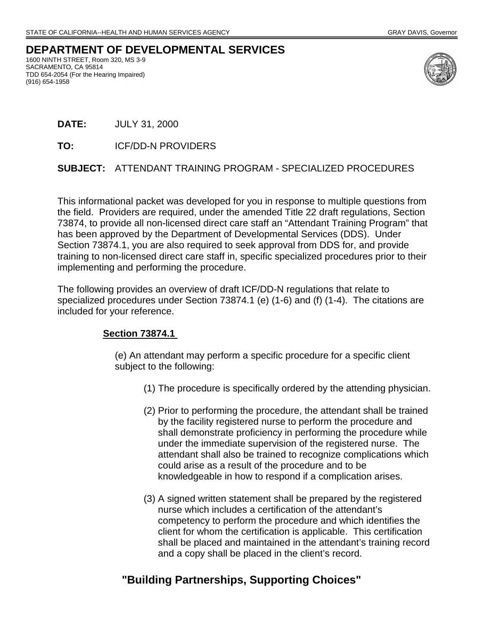## **DEPARTMENT OF DEVELOPMENTAL SERVICES**

1600 NINTH STREET, Room 320, MS 3-9 SACRAMENTO, CA 95814 TDD 654-2054 (For the Hearing Impaired) (916) 654-1958



- **DATE:** JULY 31, 2000
- **TO:** ICF/DD-N PROVIDERS

#### **SUBJECT:** ATTENDANT TRAINING PROGRAM - SPECIALIZED PROCEDURES

This informational packet was developed for you in response to multiple questions from the field. Providers are required, under the amended Title 22 draft regulations, Section 73874, to provide all non-licensed direct care staff an "Attendant Training Program" that has been approved by the Department of Developmental Services (DDS). Under Section 73874.1, you are also required to seek approval from DDS for, and provide training to non-licensed direct care staff in, specific specialized procedures prior to their implementing and performing the procedure.

The following provides an overview of draft ICF/DD-N regulations that relate to specialized procedures under Section 73874.1 (e) (1-6) and (f) (1-4). The citations are included for your reference.

#### **Section 73874.1**

(e) An attendant may perform a specific procedure for a specific client subject to the following:

- (1) The procedure is specifically ordered by the attending physician.
- (2) Prior to performing the procedure, the attendant shall be trained by the facility registered nurse to perform the procedure and shall demonstrate proficiency in performing the procedure while under the immediate supervision of the registered nurse. The attendant shall also be trained to recognize complications which could arise as a result of the procedure and to be knowledgeable in how to respond if a complication arises.
- (3) A signed written statement shall be prepared by the registered nurse which includes a certification of the attendant's competency to perform the procedure and which identifies the client for whom the certification is applicable. This certification shall be placed and maintained in the attendant's training record and a copy shall be placed in the client's record.

# **"Building Partnerships, Supporting Choices"**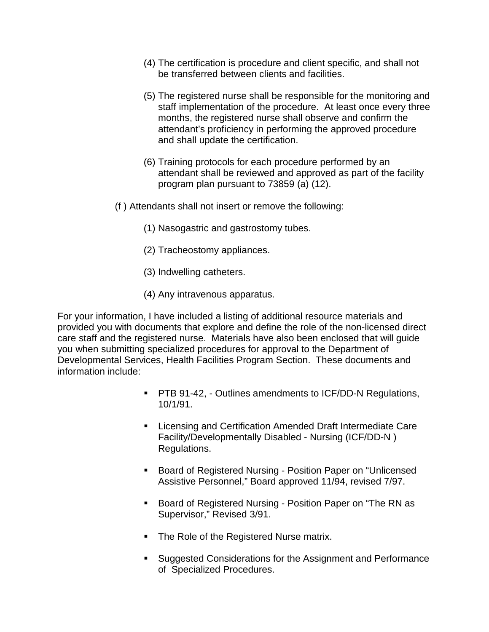- (4) The certification is procedure and client specific, and shall not be transferred between clients and facilities.
- (5) The registered nurse shall be responsible for the monitoring and staff implementation of the procedure. At least once every three months, the registered nurse shall observe and confirm the attendant's proficiency in performing the approved procedure and shall update the certification.
- (6) Training protocols for each procedure performed by an attendant shall be reviewed and approved as part of the facility program plan pursuant to 73859 (a) (12).
- (f ) Attendants shall not insert or remove the following:
	- (1) Nasogastric and gastrostomy tubes.
	- (2) Tracheostomy appliances.
	- (3) Indwelling catheters.
	- (4) Any intravenous apparatus.

For your information, I have included a listing of additional resource materials and provided you with documents that explore and define the role of the non-licensed direct care staff and the registered nurse. Materials have also been enclosed that will guide you when submitting specialized procedures for approval to the Department of Developmental Services, Health Facilities Program Section. These documents and information include:

- **PTB 91-42, Outlines amendments to ICF/DD-N Regulations,** 10/1/91.
- **EXECTE:** Licensing and Certification Amended Draft Intermediate Care Facility/Developmentally Disabled - Nursing (ICF/DD-N ) Regulations.
- Board of Registered Nursing Position Paper on "Unlicensed Assistive Personnel," Board approved 11/94, revised 7/97.
- Board of Registered Nursing Position Paper on "The RN as Supervisor," Revised 3/91.
- **The Role of the Registered Nurse matrix.**
- **Suggested Considerations for the Assignment and Performance** of Specialized Procedures.